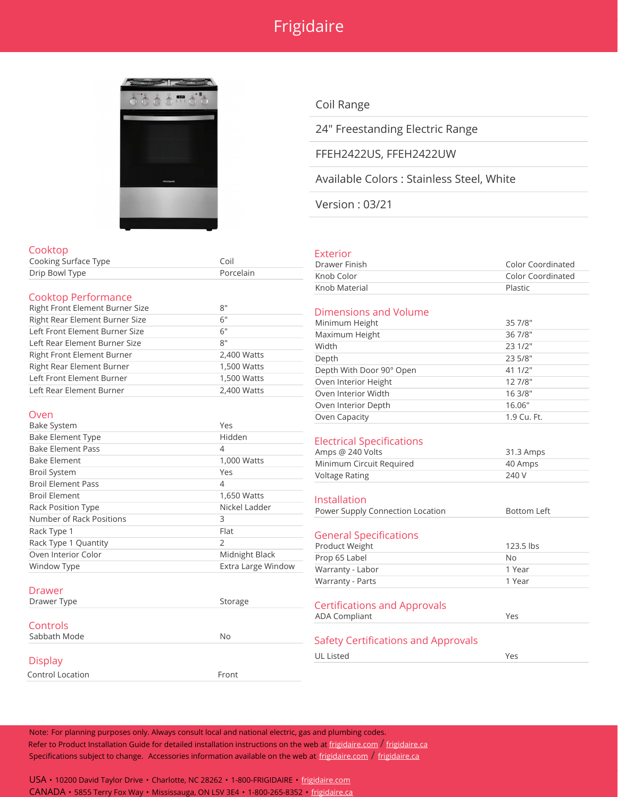## Frigidaire



### Cooktop Cooking Surface Type **Constant Constant Constant** Coil Drip Bowl Type Porcelain Cooktop Performance Right Front Element Burner Size **8''** Right Rear Element Burner Size 6" Left Front Element Burner Size 6" Left Rear Element Burner Size 8" Right Front Element Burner 2,400 Watts Right Rear Element Burner 1,500 Watts Left Front Element Burner 1,500 Watts Left Rear Element Burner 2,400 Watts Oven Bake System **Yes**

| <b>Bake Element Type</b>  | Hidden             |
|---------------------------|--------------------|
| <b>Bake Element Pass</b>  | 4                  |
| <b>Bake Element</b>       | 1,000 Watts        |
| <b>Broil System</b>       | Yes                |
| <b>Broil Element Pass</b> | 4                  |
| <b>Broil Element</b>      | 1,650 Watts        |
| <b>Rack Position Type</b> | Nickel Ladder      |
| Number of Rack Positions  | 3                  |
| Rack Type 1               | Flat               |
| Rack Type 1 Quantity      | $\mathcal{P}$      |
| Oven Interior Color       | Midnight Black     |
| Window Type               | Extra Large Window |
|                           |                    |
| Drawer                    |                    |

## Drawer Type Storage Storage **Controls** Sabbath Mode No **Display**

Control Location **Front** 

### Coil Range

24" Freestanding Electric Range

#### FFEH2422US, FFEH2422UW

Available Colors : Stainless Steel, White

Version : 03/21

#### Exterior

| Drawer Finish | Color Coordinated |
|---------------|-------------------|
| Knob Color    | Color Coordinated |
| Knob Material | Plastic           |

#### Dimensions and Volume

| Minimum Height           | 35 7/8"     |
|--------------------------|-------------|
| Maximum Height           | 36 7/8"     |
| Width                    | 23 1/2"     |
| Depth                    | 23 5/8"     |
| Depth With Door 90° Open | 41 1/2"     |
| Oven Interior Height     | 12 7/8"     |
| Oven Interior Width      | 16 3/8"     |
| Oven Interior Depth      | 16.06"      |
| Oven Capacity            | 1.9 Cu. Ft. |
|                          |             |

#### Electrical Specifications

| Amps @ 240 Volts         | 31.3 Amps |
|--------------------------|-----------|
| Minimum Circuit Required | 40 Amps   |
| Voltage Rating           | 240 V     |

#### Installation

| <u>ilistaliation</u>                |                    |
|-------------------------------------|--------------------|
| Power Supply Connection Location    | <b>Bottom Left</b> |
|                                     |                    |
| <b>General Specifications</b>       |                    |
| Product Weight                      | 123.5 lbs          |
| Prop 65 Label                       | No                 |
| Warranty - Labor                    | 1 Year             |
| Warranty - Parts                    | 1 Year             |
| <b>Certifications and Approvals</b> |                    |
| <b>ADA Compliant</b>                | Yes                |
|                                     |                    |
| Safety Certifications and Approvals |                    |

UL Listed Yes

Note: For planning purposes only. Always consult local and national electric, gas and plumbing codes. Refer to Product Installation Guide for detailed installation instructions on the web at [frigidaire.com](http://frigidaire.com/) / [frigidaire.ca](http://frigidaire.ca/) Specifications subject to change. Accessories information available on the web at [frigidaire.com](http://frigidaire.com/) / [frigidaire.ca](http://frigidaire.ca/)

USA • 10200 David Taylor Drive • Charlotte, NC 28262 • 1-800-FRIGIDAIRE • [frigidaire.com](http://frigidaire.com/) CANADA • 5855 Terry Fox Way • Mississauga, ON L5V 3E4 • 1-800-265-8352 • [frigidaire.ca](http://frigidaire.ca/)